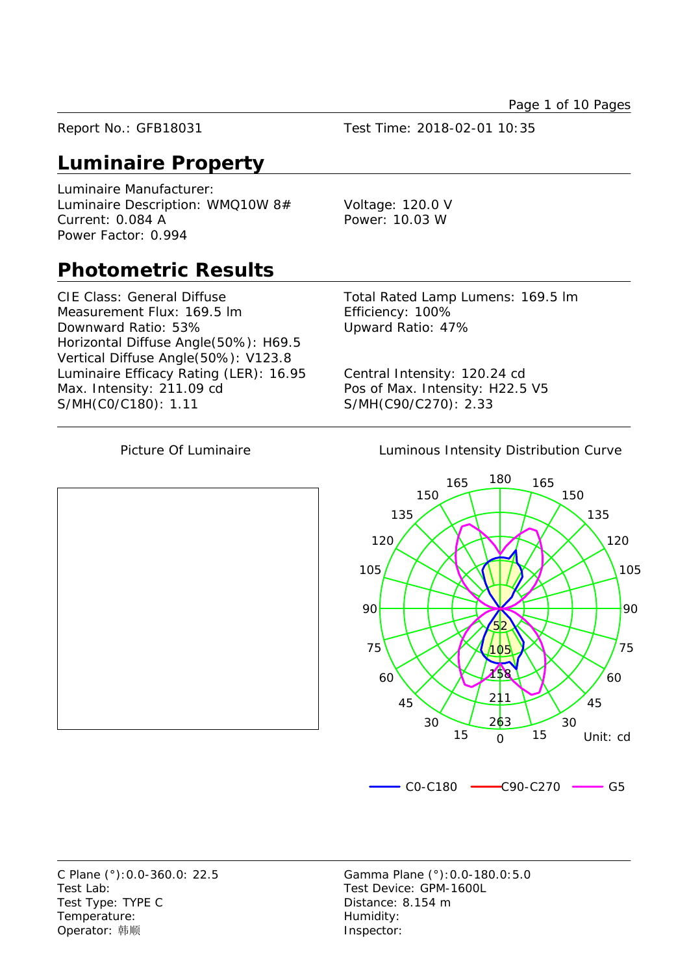Page 1 of 10 Pages

Report No.: GFB18031 Test Time: 2018-02-01 10:35

#### **Luminaire Property**

Luminaire Manufacturer: Luminaire Description: WMQ10W 8# Voltage: 120.0 V Current: 0.084 A Power: 10.03 W Power Factor: 0.994

#### **Photometric Results**

CIE Class: General Diffuse Total Rated Lamp Lumens: 169.5 lm Measurement Flux: 169.5 lm Efficiency: 100% Downward Ratio: 53% Upward Ratio: 47% Horizontal Diffuse Angle(50%): H69.5 Vertical Diffuse Angle(50%): V123.8 Luminaire Efficacy Rating (LER): 16.95 Central Intensity: 120.24 cd Max. Intensity: 211.09 cd Pos of Max. Intensity: H22.5 V5 S/MH(C0/C180): 1.11 S/MH(C90/C270): 2.33

Picture Of Luminaire **Luminous Intensity Distribution Curve** 



Test Lab: Test Device: GPM-1600L Test Type: TYPE C Distance: 8.154 m Temperature: Temperature: Operator: 韩顺 **Inspector:** 

C Plane (°):0.0-360.0: 22.5 Gamma Plane (°):0.0-180.0:5.0

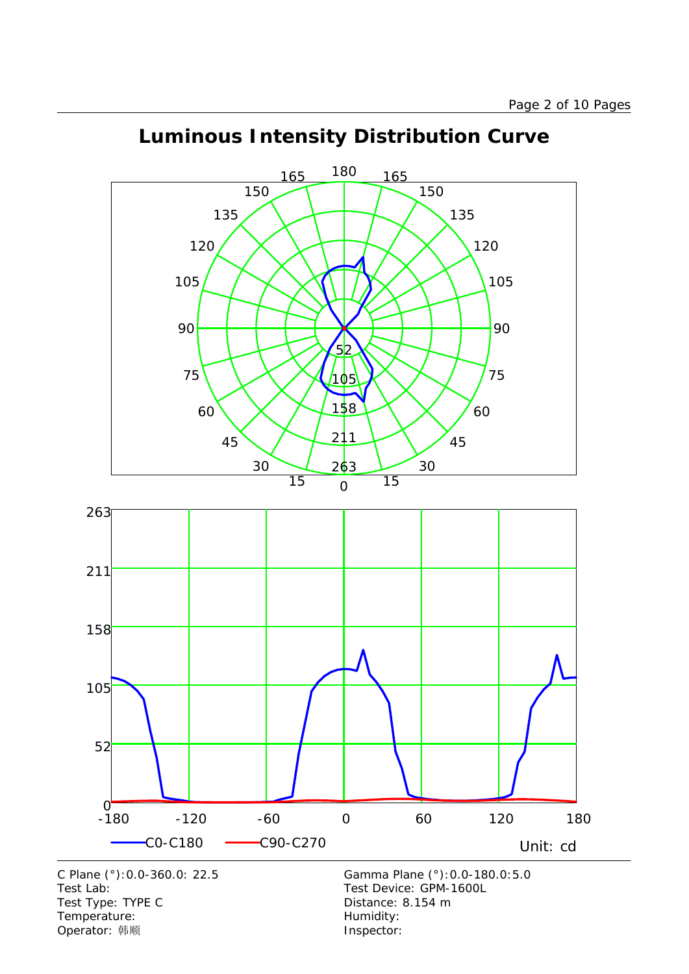

-180 -120 -60 0 60 120 180

C0-C180 C90-C270 Unit: cd

## **Luminous Intensity Distribution Curve**

C Plane (°):0.0-360.0: 22.5 Gamma Plane (°):0.0-180.0:5.0 Test Lab:<br>
Test Type: TYPE C<br>
Test Type: TYPE C<br>
Test Type: TYPE C<br>
Test Type: TYPE C Test Type: TYPE C Temperature: Temperature: Temperature: Operator: 韩顺 **Inspector:** 

 $0 - 180$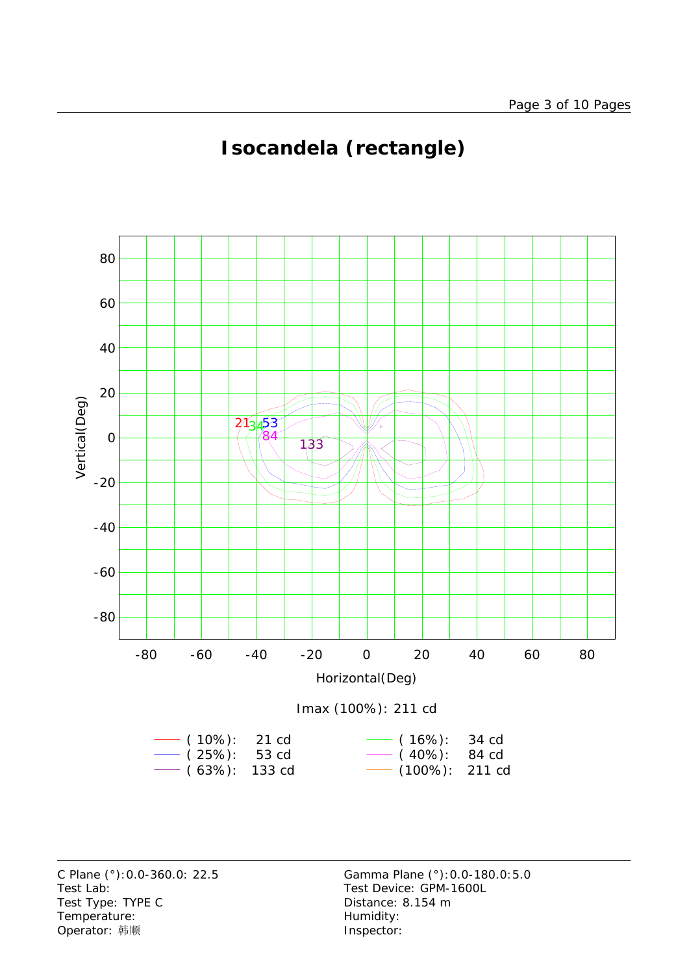

# **Isocandela (rectangle)**



Test Lab: Test Device: GPM-1600L Test Type: TYPE C Distance: 8.154 m Temperature: Temperature: Temperature: Operator: 韩顺 **Inspector:** 

C Plane (°):0.0-360.0: 22.5 Gamma Plane (°):0.0-180.0:5.0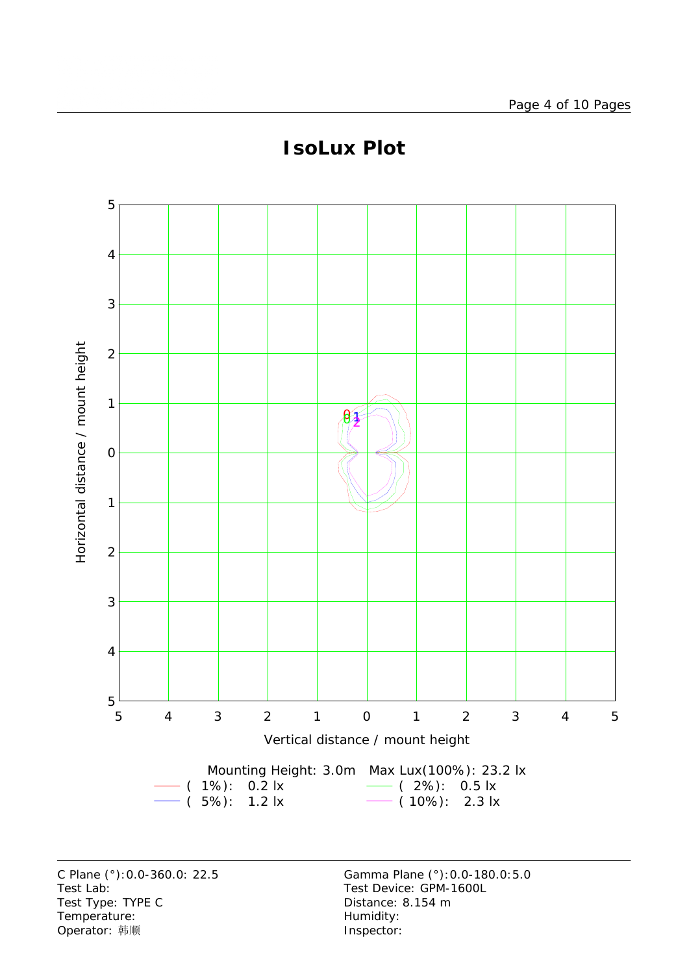

#### **IsoLux Plot**

Test Lab: Test Device: GPM-1600L Test Type: TYPE C COME CONTROLLER Distance: 8.154 m Temperature: We are the more controller as the Humidity:<br>
Operator: 韩顺 Network: This are the Museof of the Museof of the Museof of the Museof of the Museof of the Museo Operator: 韩顺

C Plane (°):0.0-360.0: 22.5 Gamma Plane (°):0.0-180.0:5.0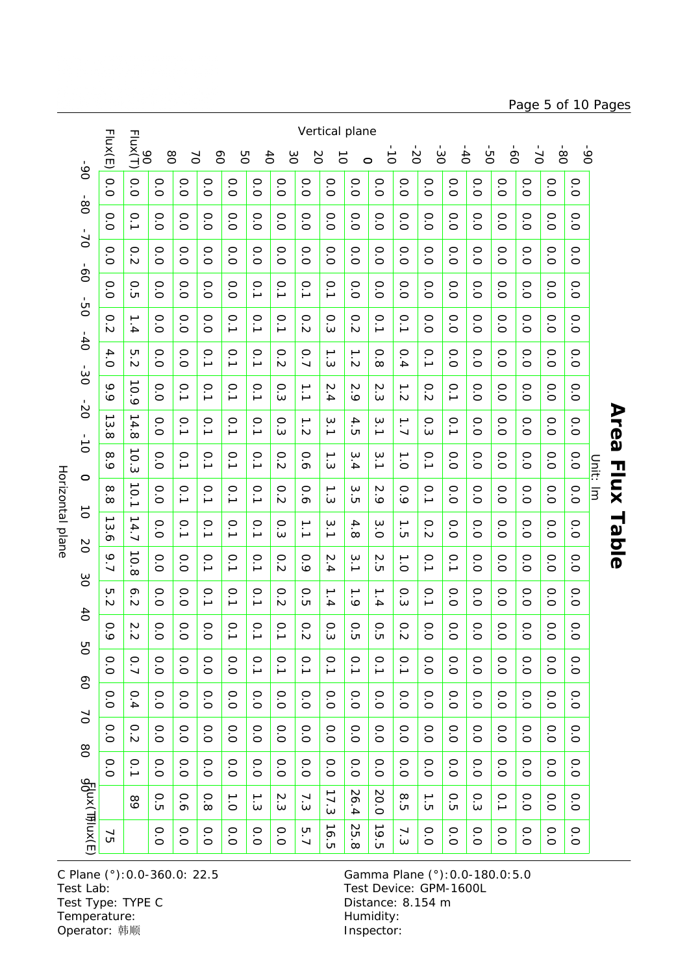Horizontal plane Horizontal plane

Vertical plane Flux(E) 90 Flux(T) -50  $-80$ -90 -30  $\dot{\mathcal{S}}$  $\overline{5}$ 80 -20 70 60 50  $6<sup>4</sup>$ 30 20  $\vec{o}$  $\vec{0}$  $\sigma$  $\circ$  $06 -$ -90 -80 -70 -60 -50 -50 -40 -30 -20 -10 -10 -10 -20 -30 -40 -50 -50 -90 -90 -90 -0.0 0.0 0.00.00.00.00.00.00.00.00.00.00.00.00.00.00.00.00.00.070 -80  $\dot{8}$ 0.0 0.1  $\circ$  $\circ$  $\circ$  0.0 $\circ$  $\circ$  0.0 $\circ$  $\circ$  $\circ$  $\circ$  $\circ$  $\circ$  $\circ$  $\circ$  $\circ$  $\circ$  $\circ$ .<br>ت  $\overline{\circ}$ .<br>O .<br>0  $\overline{\circ}$  $\overline{\circ}$  $\overline{\circ}$  $\overleftarrow{O}$  $\overleftarrow{C}$ .<br>O  $\overline{\circ}$  $\overleftarrow{O}$ .<br>O  $\overline{\circ}$ .<br>0  $\overline{\circ}$  $01 -$ -70 -60 -50 -40 -30 -20 -10 -0 -10 -20 -30 -30 -50 -50 0.0 0.2  $\circ$  $\circ$  $\circ$  $\circ$  $\circ$  $\circ$  $\circ$  $\circ$  $\circ$  $\circ$  $\circ$  $\circ$  $\circ$  $\circ$  $\circ$  $\circ$  $\circ$  $\circ$  $\overline{\circ}$  $\overline{O}$  $\overline{O}$  $\overline{O}$  $\overline{O}$  $\overline{O}$  $\overline{O}$  $\overline{O}$  $\overline{O}$ .<br>்  $\overline{O}$  $\overline{O}$  $\overline{O}$  $\overline{O}$  $\overline{O}$ .<br>O  $\overline{O}$  $\overline{\circ}$  $\overline{0}$ -60 -50 -40 -30 -20 -10 -0 -10 -20 -30 -30 -50 -50 0.0 0.5  $\circ$  $\circ$  $\circ$  0.0<u>م</u>. <u>م</u>. <u>م</u>. <u>م</u>.  $\circ$  $\circ$  $\circ$  $\circ$  $\circ$  $\circ$  $\circ$  $\circ$  $\circ$  $\circ$  $\overline{\circ}$  $\overline{O}$  $\overline{O}$  $\overline{O}$  $\circ$  $\overline{O}$  $\overline{O}$  $\overline{O}$  $\overline{O}$  $\overline{O}$  $\overline{\circ}$  $\overline{O}$  $\overline{O}$  $O<sup>2</sup>$ -50 -40 -30 -20 -10 0 10 20 30 40 0.2 0.0 0.0 0.0<u>م</u>.<br>د <u>م</u>.<br>د <u>م</u>.<br>د o<br>N  $\circ$  $\circ$ <u>م</u>.<br>د <u>اب</u>  $\circ$  0.0 0.0 0.0 0.0 0.0 0.0 $\mathbf{A}$  $\dot{\omega}$  $\dot{\sim}$  $\overline{O}$  $-40$ -40 -30 -20 -10 -10 -10 -20 -30 4.0 5.2  $\circ$  $\circ$  $\circ$  $\circ$  $\circ$  $\circ$  $\circ$  $\circ$  $\circ$  $\circ$  $\circ$  $\circ$ .<br>ا .<br>ا .<br>ا  $\rightarrow$  $\overline{\phantom{0}}$ .<br>ا  $\overline{O}$ .<br>ت  $\sim$  $\ddot{ }$ نى  $\sim$  $\infty$  $\frac{1}{4}$  $\overline{O}$ .<br>ت .<br>ت  $\overline{O}$ .<br>ت  $\overline{O}$  $\frac{1}{20}$  $20 - 30 - 0 = 0$ 9.9 10.9  $\circ$  $\circ$  $\dot{p}$  $\overline{\mathsf{C}}$  $\sim$  $\rightarrow$  $\circ$  $\circ$  $\circ$  $\circ$  $\circ$  $\circ$ .<br>ا .<br>أ .<br>ا .<br>أ  $\overline{\phantom{0}}$ <u>م</u>.  $\overline{\circ}$  $\dot{\bm{\omega}}$  $\frac{1}{4}$  $\dot{\circ}$  $\omega$  $\sim$  $\sim$  $\overline{\circ}$  $\dot{\circ}$  $\overline{\circ}$  $\overline{\circ}$  $\overline{O}$  $10 - 10$ **Area** Ċ 13.8 14.8  $\circ$  $\circ$ .<br>. <u>م</u>. <u>م</u>. <u>م</u>.  $\circ$  $\rightarrow$ ب<br>.<br>.  $\Delta$ ب<br>.<br>. ا<br>ب  $\circ$ <u>م</u>.  $\circ$  $\circ$  $\circ$  $\circ$  $\sim$  $\overline{\circ}$  $\omega$  $\overline{5}$ نى  $\overline{\circ}$  $\overline{\circ}$  $\overline{\circ}$  $\overline{\circ}$  $\overline{\circ}$  $\frac{1}{\sigma}$ ا<br>0<br>0 10.3 8.9  $\rightarrow$  $\omega$ o<br>O .<br>. .<br>^ .<br>ا .<br>^ o<br>N ০<br>০ ب<br>.<br>. ب<br>أ .<br>ا 0.0 0.0 0.0 0.0 0.0 0.0Unit: Im Unit: lm  $\dot{\bm{\omega}}$  $\frac{1}{4}$  $\circ$ 10.1  $\circ$ 8.8  $\circ$ .<br>. .<br>ا .<br>ا .<br>ا  $\circ$  $\circ$  $\rightarrow$  $\omega$  $\mathcal{N}$  $\circ$ .<br>ا  $\circ$  $\circ$  $\circ$  $\circ$  $\circ$  $\sim$ بن  $\overline{\mathbf{c}}$  $\dot{\circ}$ 0.00.0 $\overline{O}$ .<br>ت  $\overline{O}$  $\overline{\circ}$  $\sigma$  $\sim$ .<br>O  $\vec{o}$ 13.6 14.7  $\circ$  $\circ$  $\Delta$  $\omega$  $\rightarrow$  $\circ$  $\circ$  $\circ$  $\circ$  $\circ$  $\circ$  $\circ$ .<br>ا .<br>أ .<br>ا .<br>أ  $\overline{\phantom{0}}$ ب<br>.  $\circ$  $\omega$  $\infty$  $\circ$  $\overline{5}$  $\mathbb N$  $\circ$  $\overline{O}$  $\circ$  $\circ$  $\overline{O}$  $\circ$ **SO** 9.7  $\circ$  $\circ$ <u>م</u>. <u>م</u>. <u>م</u>.  $\circ$  $\circ$  $\overline{M}$ ب<br>.<br>.  $\mathop{\mathsf{N}}$ <u>م</u>. <u>م</u>.  $\circ$  $\circ$  $\circ$  $\circ$  $\circ$ 10.8 ┙  $\overline{O}$  $\overline{O}$ .<br>0  $\sim$  $\sim$  $\frac{1}{4}$  $\overline{c}$  $\overline{O}$  $\overline{O}$  $\overline{O}$  $\overline{O}$  $\overline{\circ}$  $\infty$  $\circ$ 5.2  $\circ$  $\circ$  $\circ$ 6.2  $\circ$  $\circ$  $\circ$  $\circ$  $\circ$  $\circ$  $\circ$ o<br>O .<br>ا .<br>^ ل<br>ب ل<br>ب 0.0 $\tilde{\mathcal{L}}$  $\dot{\circ}$  $\overline{\phantom{a}}$  $\overline{O}$ .<br>ت  $\overline{c}$  $\overline{O}$ .<br>ت  $\overline{O}$  $\sim$  $\dot{\bm{\omega}}$  $\overline{\circ}$  $40$ 0.9  $\circ$ 2.2  $\circ$  $\circ$  $\circ$  $\circ$  $\circ$  $\circ$  $\circ$  $\circ$  $\circ$  $\circ$  $\circ$  $\circ$  $\circ$  $\circ$ .<br>ا .<br>ا .<br>ا .<br>ت  $\circ$  $\rm \dot{\circ}$  $\rm\dot{\circ}$  $\sim$  $\dot{\bm{\omega}}$  $\overline{c}$  $\overline{c}$  $\sim$  $\overline{\circ}$  $\circ$  $\overline{\circ}$  $\circ$  $\circ$  $\overline{\circ}$ **DO** 0.0 0.7 0.0 0.0 $\circ$  0.0.<br>أ .<br>ا .<br>أ .<br>ا .<br>ا .<br>ا <u>م</u>.  $\circ$  $\circ$  0.0 $\circ$  $\circ$  0.0 $\circ$  $\overline{O}$  $\overline{O}$  $\overline{O}$  $\overline{O}$  $\overline{O}$  $\overline{O}$  $\infty$ 0.0 0.4  $\circ$  $\circ$  $\circ$  $\circ$  $\circ$  $\circ$  $\circ$  $\circ$  $\circ$  $\circ$  $\circ$  $\circ$  $\circ$  $\circ$  $\circ$  $\circ$  $\circ$  $\circ$  $\overline{O}$ .<br>O .<br>o  $\overline{O}$  $\overline{O}$  $\overline{O}$  $\overline{O}$  $\overline{O}$  $\overleftarrow{C}$  $\overline{O}$  $\overline{O}$  $\overline{O}$  $\overline{O}$  $\overline{O}$  $\overline{O}$  $\overline{O}$ .<br>o  $\overline{O}$  $\tilde{c}$ 0.0 0.2  $\circ$  $\circ$  $\circ$  $\circ$  $\circ$  $\circ$  $\circ$  $\circ$  $\circ$  $\circ$  $\circ$  $\circ$  $\circ$ o<br>O 0.0 0.0 0.0 0.0 $\overline{\circ}$  $\overline{\circ}$  $\overline{\circ}$  $\overline{\circ}$  $\overline{\circ}$  $\overline{\circ}$  $\overline{\circ}$  $\overline{\circ}$  $\overline{\circ}$  $\overline{\circ}$ .<br>O  $\overline{\circ}$  $\overline{\circ}$  $80$ 0.0  $0.1$  $\circ$  $\circ$  $\circ$  $\circ$  $\circ$  $\circ$  $\circ$  $\circ$  $\circ$  $\circ$  $\circ$  $\circ$  $\circ$  $\circ$  $\circ$  $\circ$  $\circ$  $\circ$ .<br>ت .<br>0 .<br>0 .<br>0  $\overline{O}$ .<br>0  $\overline{O}$ 0.0  $\overline{\circ}$ .<br>0  $\overline{\circ}$  $\overline{O}$  $\overline{\circ}$  $\overline{O}$ .<br>0  $\overline{O}$ .<br>O  $\overline{O}$ ą{ux(Ͳ)ux(E 90Flux(T)Flux(E) 17.30.626.420.0 $\frac{8}{5}$  $\frac{0}{3}$ 0.00.00.50.81.0 $1.3$ بر<br>3. 7.3 $\frac{1}{10}$  $\sum_{\tau}$ 0.10.089 16.5 25.8 19.5  $\circ$  $\circ$  $\circ$  $\overline{\phantom{0}}$  $\circ$  $\circ$  $\circ$  $\circ$  $\circ$  $\circ$ o<br>O 0.0 o<br>O .<br>ب  $\circ$ 75  $\overline{O}$  $\overline{O}$  $\dot{\omega}$  $\overline{O}$  $\overline{O}$  $\overline{O}$  $\frac{1}{\sqrt{2}}$  $\overline{O}$  $\overline{O}$  $\overline{O}$ .<br>0 C Plane (°):0.0-360.0: 22.5 Gamma Plane (°):0.0-180.0:5.0

Test Lab: Test Device: GPM-1600L Test Type: TYPE C COME CONTROLLER Distance: 8.154 m Temperature: Temperature: Temperature: Operator: 韩顺 **Inspector:** 

Page 5 of 10 Pages

**Area Flux Table**

**Flux Table**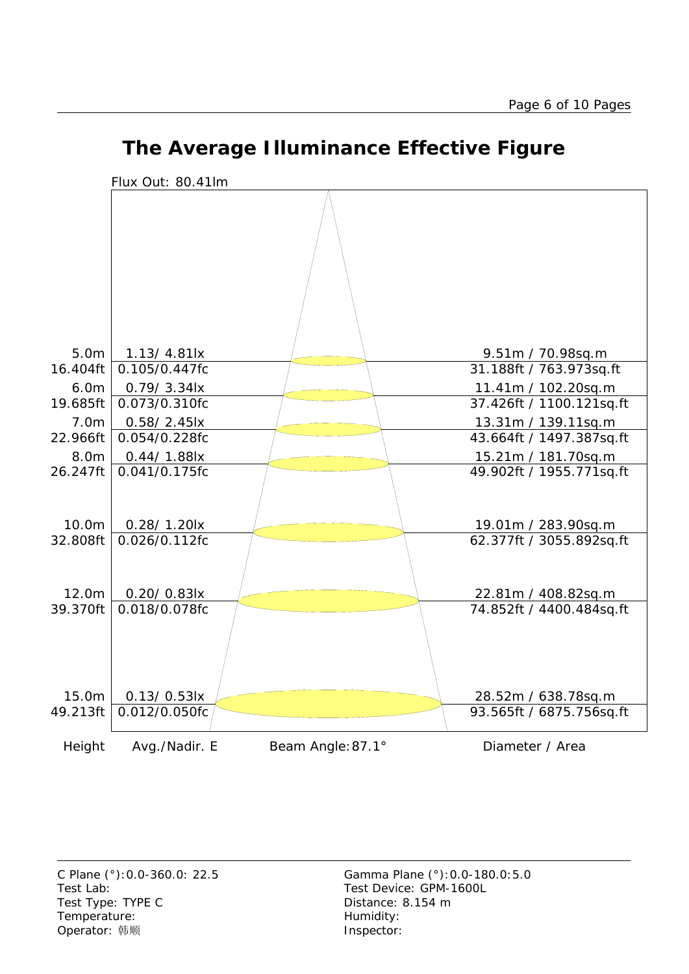

#### **The Average Illuminance Effective Figure**

Test Lab: Test Device: GPM-1600L Test Type: TYPE C Distance: 8.154 m Temperature: Temperature: Temperature: Operator: 韩顺 **Inspector:**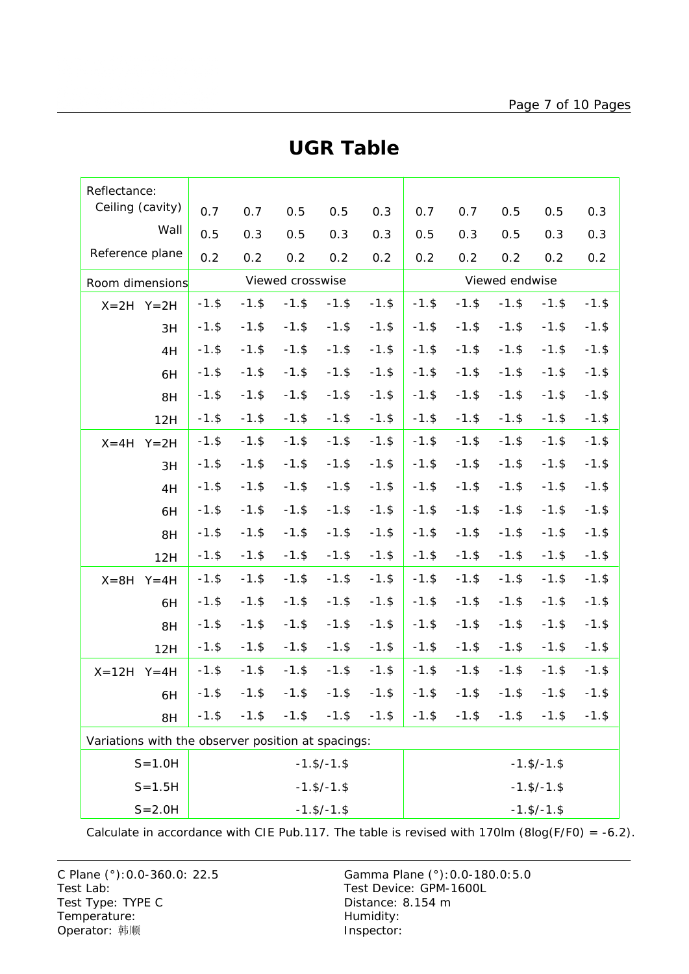| Reflectance:                                       |                    |          |                  |                    |                    |                    |          |          |          |          |  |
|----------------------------------------------------|--------------------|----------|------------------|--------------------|--------------------|--------------------|----------|----------|----------|----------|--|
| Ceiling (cavity)                                   | 0.7                | 0.7      | 0.5              | 0.5                | 0.3                | 0.7                | 0.7      | 0.5      | 0.5      | 0.3      |  |
| Wall                                               | 0.5                | 0.3      | 0.5              | 0.3                | 0.3                | 0.5                | 0.3      | 0.5      | 0.3      | 0.3      |  |
| Reference plane                                    | 0.2                | 0.2      | 0.2              | 0.2                | 0.2                | 0.2                | 0.2      | 0.2      | 0.2      | 0.2      |  |
| Room dimensions                                    |                    |          | Viewed crosswise |                    |                    | Viewed endwise     |          |          |          |          |  |
| $X=2H$ $Y=2H$                                      | $-1.$ \$           | $-1.$ \$ | $-1.$ \$         | $-1.$ \$           | $-1.$ \$           | $-1.$ \$           | $-1.$ \$ | $-1.$ \$ | $-1.$ \$ | $-1.$ \$ |  |
| 3H                                                 | $-1.$ \$           | $-1.$ \$ | $-1.$ \$         | $-1.$ \$           | $-1.$ \$           | $-1.$ \$           | $-1.$ \$ | $-1.$ \$ | $-1.$ \$ | $-1.$ \$ |  |
| 4H                                                 | $-1.$ \$           | $-1.$ \$ | $-1.$ \$         | $-1.$ \$           | $-1.$ \$           | $-1.$ \$           | $-1.$ \$ | $-1.$ \$ | $-1.$ \$ | $-1.$ \$ |  |
| 6H                                                 | $-1.$ \$           | $-1.$ \$ | $-1.$ \$         | $-1.$ \$           | $-1.$ \$           | $-1.$ \$           | $-1.$ \$ | $-1.$ \$ | $-1.$ \$ | $-1.$ \$ |  |
| 8H                                                 | $-1.$ \$           | $-1.$ \$ | $-1.$ \$         | $-1.$ \$           | $-1.$ \$           | $-1.$ \$           | $-1.$ \$ | $-1.$ \$ | $-1.$ \$ | $-1.$ \$ |  |
| 12H                                                | $-1.$ \$           | $-1.$ \$ | $-1.$ \$         | $-1.$ \$           | $-1.$ \$           | $-1.$ \$           | $-1.$ \$ | $-1.$ \$ | $-1.$ \$ | $-1.$ \$ |  |
| $Y = 2H$<br>$X = 4H$                               | $-1.$ \$           | $-1.$ \$ | $-1.$ \$         | $-1.$ \$           | $-1.$ \$           | $-1.$ \$           | $-1.$ \$ | $-1.$ \$ | $-1.$ \$ | $-1.$ \$ |  |
| 3H                                                 | $-1.$ \$           | $-1.$ \$ | $-1.$ \$         | $-1.$ \$           | $-1.$ \$           | $-1.$ \$           | $-1.$ \$ | $-1.$ \$ | $-1.$ \$ | $-1.$ \$ |  |
| 4H                                                 | $-1.$ \$           | $-1.$ \$ | $-1.$ \$         | $-1.$ \$           | $-1.$ \$           | $-1.$ \$           | $-1.$ \$ | $-1.$ \$ | $-1.$ \$ | $-1.$ \$ |  |
| 6H                                                 | $-1.$ \$           | $-1.$ \$ | $-1.$ \$         | $-1.$ \$           | $-1.$ \$           | $-1.$ \$           | $-1.$ \$ | $-1.$ \$ | $-1.$ \$ | $-1.$ \$ |  |
| 8H                                                 | $-1.$ \$           | $-1.$ \$ | $-1.$ \$         | $-1.$ \$           | $-1.$ \$           | $-1.$ \$           | $-1.$ \$ | $-1.$ \$ | $-1.$ \$ | $-1.$ \$ |  |
| 12H                                                | $-1.$ \$           | $-1.$ \$ | $-1.$ \$         | $-1.$ \$           | $-1.$ \$           | $-1.$ \$           | $-1.$ \$ | $-1.$ \$ | $-1.$ \$ | $-1.$ \$ |  |
| $X = 8H$<br>$Y = 4H$                               | $-1.$ \$           | $-1.$ \$ | $-1.$ \$         | $-1.$ \$           | $-1.$ \$           | $-1.$ \$           | $-1.$ \$ | $-1.$ \$ | $-1.$ \$ | $-1.$ \$ |  |
| 6H                                                 | $-1.$ \$           | $-1.$ \$ | $-1.$ \$         | $-1.$ \$           | $-1.$ \$           | $-1.$ \$           | $-1.$ \$ | $-1.$ \$ | $-1.$ \$ | $-1.$ \$ |  |
| 8H                                                 | $-1.$ \$           | $-1.$ \$ | $-1.$ \$         | $-1.$ \$           | $-1.$ \$           | $-1.$ \$           | $-1.$ \$ | $-1.$ \$ | $-1.$ \$ | $-1.$ \$ |  |
| 12H                                                | $-1.$ \$           | $-1.$ \$ | $-1.$ \$         | $-1.$ \$           | $-1.$ \$           | $-1.$ \$           | $-1.$ \$ | $-1.$ \$ | $-1.$ \$ | $-1.$ \$ |  |
| $X = 12H$<br>$Y = 4H$                              | $-1.$ \$           | $-1.$ \$ | $-1.$ \$         | $-1.$ \$           | $-1.$ \$           | $-1.$ \$           | $-1.$ \$ | $-1.$ \$ | $-1.$ \$ | $-1.$ \$ |  |
| 6H                                                 | $-1.$ \$           | $-1.$ \$ | $-1.$ \$         | $-1.$ \$           | $-1.$ \$           | $-1.$ \$           | $-1.$ \$ | $-1.$ \$ | $-1.$ \$ | $-1.$ \$ |  |
| 8H                                                 | $-1.$ \$           | $-1.$ \$ | $-1.$ \$         | $-1.$ \$           | $-1.$ \$           | $-1.$ \$           | $-1.$ \$ | $-1.$ \$ | $-1.$ \$ | $-1.$ \$ |  |
| Variations with the observer position at spacings: |                    |          |                  |                    |                    |                    |          |          |          |          |  |
| $S = 1.0H$<br>$-1.$ \$/ $-1.$ \$                   |                    |          |                  |                    |                    | $-1.$ \$/ $-1.$ \$ |          |          |          |          |  |
| $S = 1.5H$                                         | $-1.$ \$/ $-1.$ \$ |          |                  |                    | $-1.$ \$/ $-1.$ \$ |                    |          |          |          |          |  |
| $S = 2.0H$<br>$-1.$ \$/ $-1.$ \$                   |                    |          |                  | $-1.$ \$/ $-1.$ \$ |                    |                    |          |          |          |          |  |

#### **UGR Table**

Calculate in accordance with CIE Pub.117. The table is revised with 170lm (8log(F/F0) = -6.2).

C Plane (°):0.0-360.0: 22.5 Gamma Plane (°):0.0-180.0:5.0 Test Lab: Test Device: GPM-1600L Test Type: TYPE C Distance: 8.154 m Temperature: Temperature: Temperature: Operator: 韩顺 **Inspector:**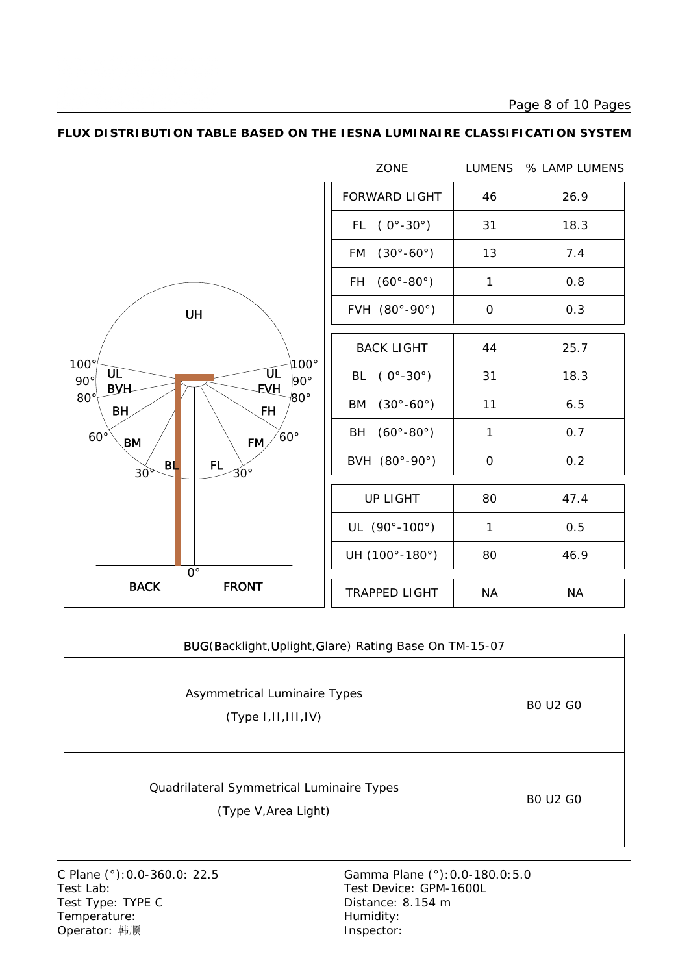Page 8 of 10 Pages



#### **FLUX DISTRIBUTION TABLE BASED ON THE IESNA LUMINAIRE CLASSIFICATION SYSTEM**

| BUG(Backlight, Uplight, Glare) Rating Base On TM-15-07            |                 |  |  |  |  |  |  |
|-------------------------------------------------------------------|-----------------|--|--|--|--|--|--|
| Asymmetrical Luminaire Types<br>(Type 1,II,III,IV)                | <b>BO U2 GO</b> |  |  |  |  |  |  |
| Quadrilateral Symmetrical Luminaire Types<br>(Type V, Area Light) | <b>BO U2 GO</b> |  |  |  |  |  |  |

Test Type: TYPE C Distance: 8.154 m Temperature: Temperature: Temperature: Operator: 韩顺 **Inspector:** 

C Plane (°): 0.0-360.0: 22.5 Gamma Plane (°): 0.0-180.0: 5.0<br>Test Lab: Test Device: GPM-1600L Test Device: GPM-1600L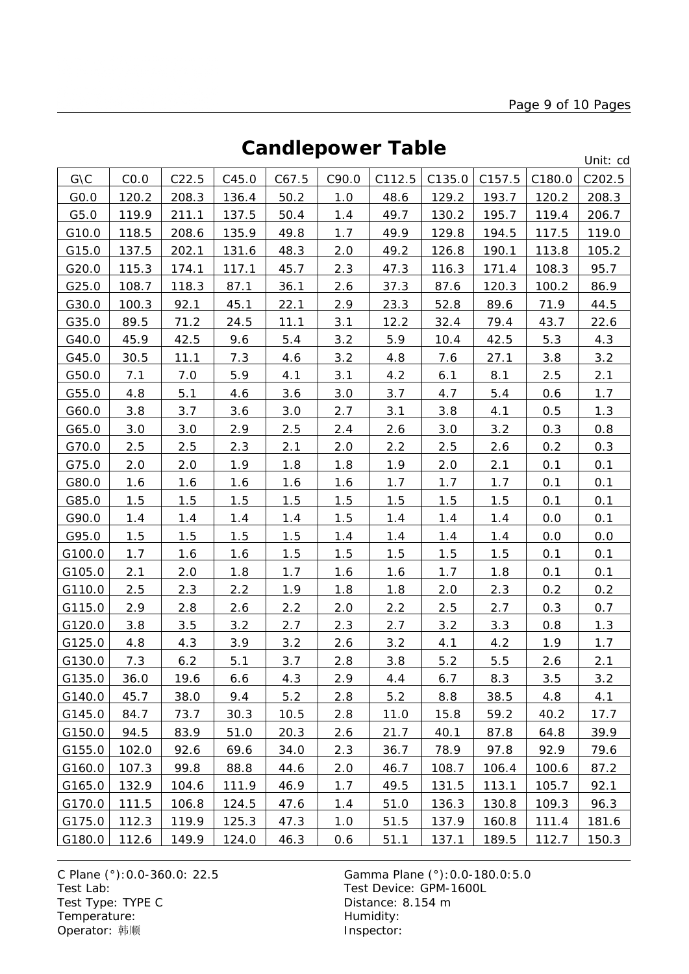### **Candlepower Table**

Unit: cd

| G\C    | CO.0  | C22.5 | C45.0 | C67.5 | C90.0 | C112.5 | C135.0 | C157.5 | C180.0 | C202.5 |
|--------|-------|-------|-------|-------|-------|--------|--------|--------|--------|--------|
| GO.0   | 120.2 | 208.3 | 136.4 | 50.2  | 1.0   | 48.6   | 129.2  | 193.7  | 120.2  | 208.3  |
| G5.0   | 119.9 | 211.1 | 137.5 | 50.4  | 1.4   | 49.7   | 130.2  | 195.7  | 119.4  | 206.7  |
| G10.0  | 118.5 | 208.6 | 135.9 | 49.8  | 1.7   | 49.9   | 129.8  | 194.5  | 117.5  | 119.0  |
| G15.0  | 137.5 | 202.1 | 131.6 | 48.3  | 2.0   | 49.2   | 126.8  | 190.1  | 113.8  | 105.2  |
| G20.0  | 115.3 | 174.1 | 117.1 | 45.7  | 2.3   | 47.3   | 116.3  | 171.4  | 108.3  | 95.7   |
| G25.0  | 108.7 | 118.3 | 87.1  | 36.1  | 2.6   | 37.3   | 87.6   | 120.3  | 100.2  | 86.9   |
| G30.0  | 100.3 | 92.1  | 45.1  | 22.1  | 2.9   | 23.3   | 52.8   | 89.6   | 71.9   | 44.5   |
| G35.0  | 89.5  | 71.2  | 24.5  | 11.1  | 3.1   | 12.2   | 32.4   | 79.4   | 43.7   | 22.6   |
| G40.0  | 45.9  | 42.5  | 9.6   | 5.4   | 3.2   | 5.9    | 10.4   | 42.5   | 5.3    | 4.3    |
| G45.0  | 30.5  | 11.1  | 7.3   | 4.6   | 3.2   | 4.8    | 7.6    | 27.1   | 3.8    | 3.2    |
| G50.0  | 7.1   | 7.0   | 5.9   | 4.1   | 3.1   | 4.2    | 6.1    | 8.1    | 2.5    | 2.1    |
| G55.0  | 4.8   | 5.1   | 4.6   | 3.6   | 3.0   | 3.7    | 4.7    | 5.4    | 0.6    | 1.7    |
| G60.0  | 3.8   | 3.7   | 3.6   | 3.0   | 2.7   | 3.1    | 3.8    | 4.1    | 0.5    | 1.3    |
| G65.0  | 3.0   | 3.0   | 2.9   | 2.5   | 2.4   | 2.6    | 3.0    | 3.2    | 0.3    | 0.8    |
| G70.0  | 2.5   | 2.5   | 2.3   | 2.1   | 2.0   | 2.2    | 2.5    | 2.6    | 0.2    | 0.3    |
| G75.0  | 2.0   | 2.0   | 1.9   | 1.8   | 1.8   | 1.9    | 2.0    | 2.1    | 0.1    | 0.1    |
| G80.0  | 1.6   | 1.6   | 1.6   | 1.6   | 1.6   | 1.7    | 1.7    | 1.7    | 0.1    | 0.1    |
| G85.0  | 1.5   | 1.5   | 1.5   | 1.5   | 1.5   | 1.5    | 1.5    | 1.5    | 0.1    | 0.1    |
| G90.0  | 1.4   | 1.4   | 1.4   | 1.4   | 1.5   | 1.4    | 1.4    | 1.4    | 0.0    | 0.1    |
| G95.0  | 1.5   | 1.5   | 1.5   | 1.5   | 1.4   | 1.4    | 1.4    | 1.4    | 0.0    | 0.0    |
| G100.0 | 1.7   | 1.6   | 1.6   | 1.5   | 1.5   | 1.5    | 1.5    | 1.5    | 0.1    | 0.1    |
| G105.0 | 2.1   | 2.0   | 1.8   | 1.7   | 1.6   | 1.6    | 1.7    | 1.8    | 0.1    | 0.1    |
| G110.0 | 2.5   | 2.3   | 2.2   | 1.9   | 1.8   | 1.8    | 2.0    | 2.3    | 0.2    | 0.2    |
| G115.0 | 2.9   | 2.8   | 2.6   | 2.2   | 2.0   | 2.2    | 2.5    | 2.7    | 0.3    | 0.7    |
| G120.0 | 3.8   | 3.5   | 3.2   | 2.7   | 2.3   | 2.7    | 3.2    | 3.3    | 0.8    | 1.3    |
| G125.0 | 4.8   | 4.3   | 3.9   | 3.2   | 2.6   | 3.2    | 4.1    | 4.2    | 1.9    | 1.7    |
| G130.0 | 7.3   | 6.2   | 5.1   | 3.7   | 2.8   | 3.8    | 5.2    | 5.5    | 2.6    | 2.1    |
| G135.0 | 36.0  | 19.6  | 6.6   | 4.3   | 2.9   | 4.4    | 6.7    | 8.3    | 3.5    | 3.2    |
| G140.0 | 45.7  | 38.0  | 9.4   | $5.2$ | 2.8   | 5.2    | 8.8    | 38.5   | 4.8    | 4.1    |
| G145.0 | 84.7  | 73.7  | 30.3  | 10.5  | 2.8   | 11.0   | 15.8   | 59.2   | 40.2   | 17.7   |
| G150.0 | 94.5  | 83.9  | 51.0  | 20.3  | 2.6   | 21.7   | 40.1   | 87.8   | 64.8   | 39.9   |
| G155.0 | 102.0 | 92.6  | 69.6  | 34.0  | 2.3   | 36.7   | 78.9   | 97.8   | 92.9   | 79.6   |
| G160.0 | 107.3 | 99.8  | 88.8  | 44.6  | 2.0   | 46.7   | 108.7  | 106.4  | 100.6  | 87.2   |
| G165.0 | 132.9 | 104.6 | 111.9 | 46.9  | 1.7   | 49.5   | 131.5  | 113.1  | 105.7  | 92.1   |
| G170.0 | 111.5 | 106.8 | 124.5 | 47.6  | 1.4   | 51.0   | 136.3  | 130.8  | 109.3  | 96.3   |
| G175.0 | 112.3 | 119.9 | 125.3 | 47.3  | 1.0   | 51.5   | 137.9  | 160.8  | 111.4  | 181.6  |
| G180.0 | 112.6 | 149.9 | 124.0 | 46.3  | 0.6   | 51.1   | 137.1  | 189.5  | 112.7  | 150.3  |

C Plane (°): 0.0-360.0: 22.5 Gamma Plane (°): 0.0-180.0: 5.0<br>Test Lab: Test Device: GPM-1600L Test Type: TYPE C Distance: 8.154 m Temperature: We are the more than the Humidity:<br>
Operator: 韩顺 Network: This are the Museum of the Museo of the Museo of the Museo of the Museo of the Museo of the Museo of the Museo of the Museo of the Museo of the Museo Operator: 韩顺

Test Device: GPM-1600L